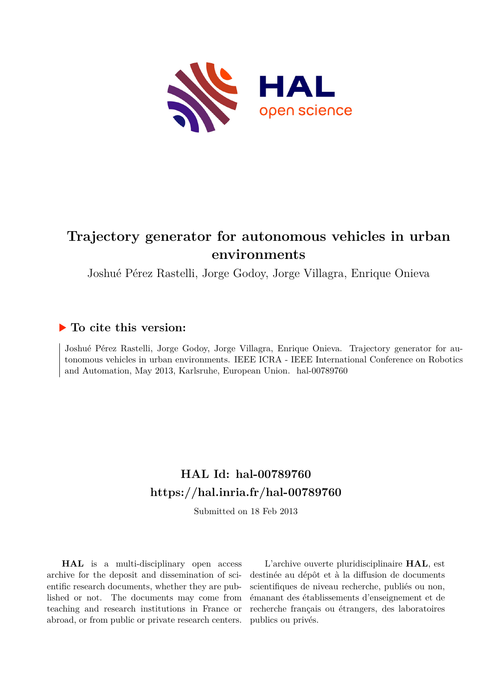

# **Trajectory generator for autonomous vehicles in urban environments**

Joshué Pérez Rastelli, Jorge Godoy, Jorge Villagra, Enrique Onieva

# **To cite this version:**

Joshué Pérez Rastelli, Jorge Godoy, Jorge Villagra, Enrique Onieva. Trajectory generator for autonomous vehicles in urban environments. IEEE ICRA - IEEE International Conference on Robotics and Automation, May 2013, Karlsruhe, European Union. hal-00789760

# **HAL Id: hal-00789760 <https://hal.inria.fr/hal-00789760>**

Submitted on 18 Feb 2013

**HAL** is a multi-disciplinary open access archive for the deposit and dissemination of scientific research documents, whether they are published or not. The documents may come from teaching and research institutions in France or abroad, or from public or private research centers.

L'archive ouverte pluridisciplinaire **HAL**, est destinée au dépôt et à la diffusion de documents scientifiques de niveau recherche, publiés ou non, émanant des établissements d'enseignement et de recherche français ou étrangers, des laboratoires publics ou privés.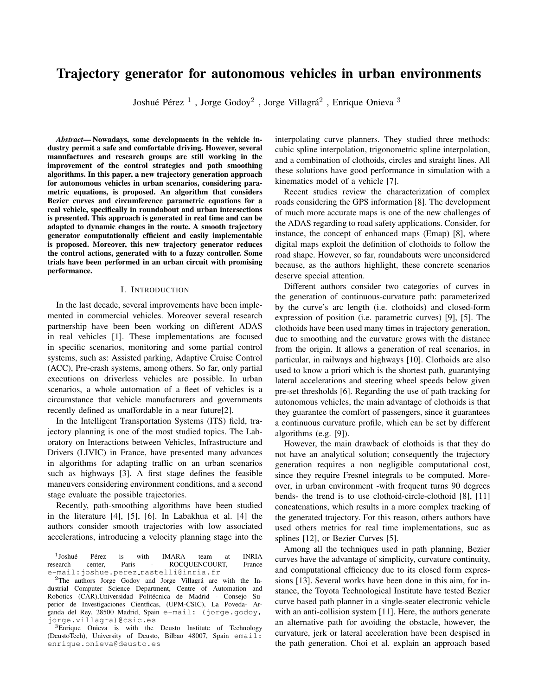# Trajectory generator for autonomous vehicles in urban environments

Joshué Pérez<sup>1</sup>, Jorge Godoy<sup>2</sup>, Jorge Villagrá<sup>2</sup>, Enrique Onieva<sup>3</sup>

*Abstract*— Nowadays, some developments in the vehicle industry permit a safe and comfortable driving. However, several manufactures and research groups are still working in the improvement of the control strategies and path smoothing algorithms. In this paper, a new trajectory generation approach for autonomous vehicles in urban scenarios, considering parametric equations, is proposed. An algorithm that considers Bezier curves and circumference parametric equations for a real vehicle, specifically in roundabout and urban intersections is presented. This approach is generated in real time and can be adapted to dynamic changes in the route. A smooth trajectory generator computationally efficient and easily implementable is proposed. Moreover, this new trajectory generator reduces the control actions, generated with to a fuzzy controller. Some trials have been performed in an urban circuit with promising performance.

### I. INTRODUCTION

In the last decade, several improvements have been implemented in commercial vehicles. Moreover several research partnership have been been working on different ADAS in real vehicles [1]. These implementations are focused in specific scenarios, monitoring and some partial control systems, such as: Assisted parking, Adaptive Cruise Control (ACC), Pre-crash systems, among others. So far, only partial executions on driverless vehicles are possible. In urban scenarios, a whole automation of a fleet of vehicles is a circumstance that vehicle manufacturers and governments recently defined as unaffordable in a near future[2].

In the Intelligent Transportation Systems (ITS) field, trajectory planning is one of the most studied topics. The Laboratory on Interactions between Vehicles, Infrastructure and Drivers (LIVIC) in France, have presented many advances in algorithms for adapting traffic on an urban scenarios such as highways [3]. A first stage defines the feasible maneuvers considering environment conditions, and a second stage evaluate the possible trajectories.

Recently, path-smoothing algorithms have been studied in the literature [4], [5], [6]. In Labakhua et al. [4] the authors consider smooth trajectories with low associated accelerations, introducing a velocity planning stage into the

interpolating curve planners. They studied three methods: cubic spline interpolation, trigonometric spline interpolation, and a combination of clothoids, circles and straight lines. All these solutions have good performance in simulation with a kinematics model of a vehicle [7].

Recent studies review the characterization of complex roads considering the GPS information [8]. The development of much more accurate maps is one of the new challenges of the ADAS regarding to road safety applications. Consider, for instance, the concept of enhanced maps (Emap) [8], where digital maps exploit the definition of clothoids to follow the road shape. However, so far, roundabouts were unconsidered because, as the authors highlight, these concrete scenarios deserve special attention.

Different authors consider two categories of curves in the generation of continuous-curvature path: parameterized by the curve's arc length (i.e. clothoids) and closed-form expression of position (i.e. parametric curves) [9], [5]. The clothoids have been used many times in trajectory generation, due to smoothing and the curvature grows with the distance from the origin. It allows a generation of real scenarios, in particular, in railways and highways [10]. Clothoids are also used to know a priori which is the shortest path, guarantying lateral accelerations and steering wheel speeds below given pre-set thresholds [6]. Regarding the use of path tracking for autonomous vehicles, the main advantage of clothoids is that they guarantee the comfort of passengers, since it guarantees a continuous curvature profile, which can be set by different algorithms (e.g. [9]).

However, the main drawback of clothoids is that they do not have an analytical solution; consequently the trajectory generation requires a non negligible computational cost, since they require Fresnel integrals to be computed. Moreover, in urban environment -with frequent turns 90 degrees bends- the trend is to use clothoid-circle-clothoid [8], [11] concatenations, which results in a more complex tracking of the generated trajectory. For this reason, others authors have used others metrics for real time implementations, suc as splines [12], or Bezier Curves [5].

Among all the techniques used in path planning, Bezier curves have the advantage of simplicity, curvature continuity, and computational efficiency due to its closed form expressions [13]. Several works have been done in this aim, for instance, the Toyota Technological Institute have tested Bezier curve based path planner in a single-seater electronic vehicle with an anti-collision system [11]. Here, the authors generate an alternative path for avoiding the obstacle, however, the curvature, jerk or lateral acceleration have been despised in the path generation. Choi et al. explain an approach based

 $1$ Joshué Joshué Pérez is with IMARA team at INRIA research center, Paris - ROCQUENCOURT, France e-mail:joshue.perez rastelli@inria.fr

 $2$ The authors Jorge Godoy and Jorge Villagrá are with the Industrial Computer Science Department, Centre of Automation and Robotics (CAR),Universidad Politécnica de Madrid - Consejo Superior de Investigaciones Cientficas, (UPM-CSIC), La Poveda- Arganda del Rey, 28500 Madrid, Spain e-mail: (jorge.godoy, jorge.villagra)@csic.es

<sup>3</sup>Enrique Onieva is with the Deusto Institute of Technology (DeustoTech), University of Deusto, Bilbao 48007, Spain email: enrique.onieva@deusto.es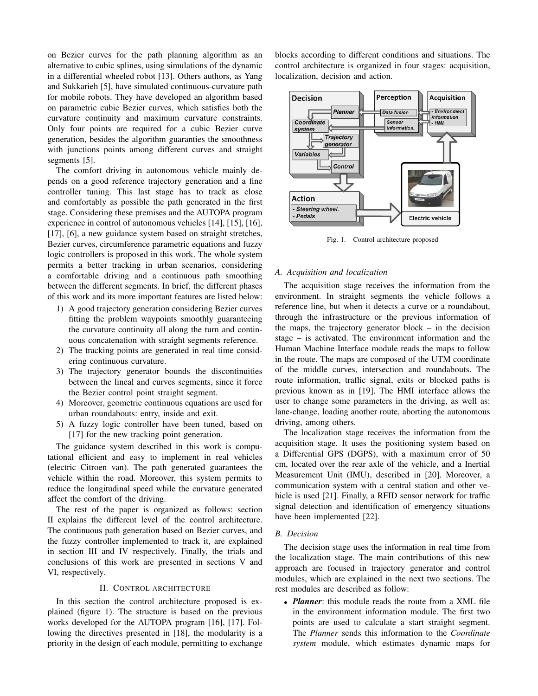on Bezier curves for the path planning algorithm as an alternative to cubic splines, using simulations of the dynamic in a differential wheeled robot [13]. Others authors, as Yang and Sukkarieh [5], have simulated continuous-curvature path for mobile robots. They have developed an algorithm based on parametric cubic Bezier curves, which satisfies both the curvature continuity and maximum curvature constraints. Only four points are required for a cubic Bezier curve generation, besides the algorithm guaranties the smoothness with junctions points among different curves and straight segments [5].

The comfort driving in autonomous vehicle mainly depends on a good reference trajectory generation and a fine controller tuning. This last stage has to track as close and comfortably as possible the path generated in the first stage. Considering these premises and the AUTOPA program experience in control of autonomous vehicles [14], [15], [16], [17], [6], a new guidance system based on straight stretches, Bezier curves, circumference parametric equations and fuzzy logic controllers is proposed in this work. The whole system permits a better tracking in urban scenarios, considering a comfortable driving and a continuous path smoothing between the different segments. In brief, the different phases of this work and its more important features are listed below:

- 1) A good trajectory generation considering Bezier curves fitting the problem waypoints smoothly guaranteeing the curvature continuity all along the turn and continuous concatenation with straight segments reference.
- 2) The tracking points are generated in real time considering continuous curvature.
- 3) The trajectory generator bounds the discontinuities between the lineal and curves segments, since it force the Bezier control point straight segment.
- 4) Moreover, geometric continuous equations are used for urban roundabouts: entry, inside and exit.
- 5) A fuzzy logic controller have been tuned, based on [17] for the new tracking point generation.

The guidance system described in this work is computational efficient and easy to implement in real vehicles (electric Citroen van). The path generated guarantees the vehicle within the road. Moreover, this system permits to reduce the longitudinal speed while the curvature generated affect the comfort of the driving.

The rest of the paper is organized as follows: section II explains the different level of the control architecture. The continuous path generation based on Bezier curves, and the fuzzy controller implemented to track it, are explained in section III and IV respectively. Finally, the trials and conclusions of this work are presented in sections V and VI, respectively.

# II. CONTROL ARCHITECTURE

In this section the control architecture proposed is explained (figure 1). The structure is based on the previous works developed for the AUTOPA program [16], [17]. Following the directives presented in [18], the modularity is a priority in the design of each module, permitting to exchange blocks according to different conditions and situations. The control architecture is organized in four stages: acquisition, localization, decision and action.



Fig. 1. Control architecture proposed

## *A. Acquisition and localization*

The acquisition stage receives the information from the environment. In straight segments the vehicle follows a reference line, but when it detects a curve or a roundabout, through the infrastructure or the previous information of the maps, the trajectory generator block  $-$  in the decision stage – is activated. The environment information and the Human Machine Interface module reads the maps to follow in the route. The maps are composed of the UTM coordinate of the middle curves, intersection and roundabouts. The route information, traffic signal, exits or blocked paths is previous known as in [19]. The HMI interface allows the user to change some parameters in the driving, as well as: lane-change, loading another route, aborting the autonomous driving, among others.

The localization stage receives the information from the acquisition stage. It uses the positioning system based on a Differential GPS (DGPS), with a maximum error of 50 cm, located over the rear axle of the vehicle, and a Inertial Measurement Unit (IMU), described in [20]. Moreover, a communication system with a central station and other vehicle is used [21]. Finally, a RFID sensor network for traffic signal detection and identification of emergency situations have been implemented [22].

#### *B. Decision*

The decision stage uses the information in real time from the localization stage. The main contributions of this new approach are focused in trajectory generator and control modules, which are explained in the next two sections. The rest modules are described as follow:

• *Planner*: this module reads the route from a XML file in the environment information module. The first two points are used to calculate a start straight segment. The *Planner* sends this information to the *Coordinate system* module, which estimates dynamic maps for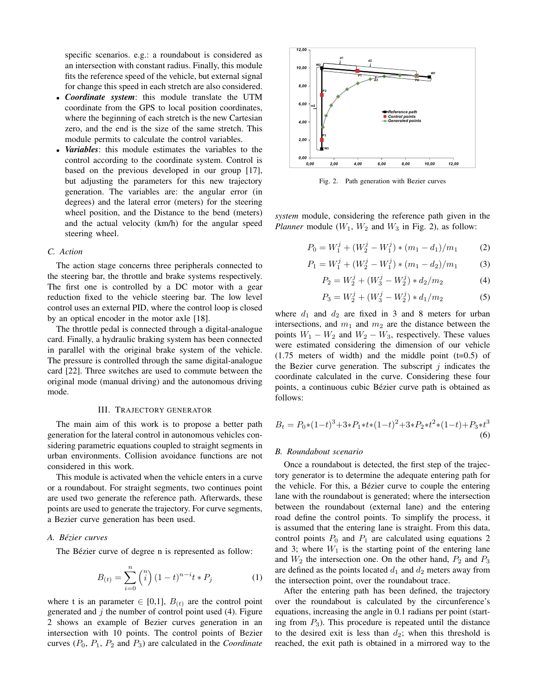specific scenarios. e.g.: a roundabout is considered as an intersection with constant radius. Finally, this module fits the reference speed of the vehicle, but external signal for change this speed in each stretch are also considered.

- *Coordinate system*: this module translate the UTM coordinate from the GPS to local position coordinates, where the beginning of each stretch is the new Cartesian zero, and the end is the size of the same stretch. This module permits to calculate the control variables.
- *Variables*: this module estimates the variables to the control according to the coordinate system. Control is based on the previous developed in our group [17], but adjusting the parameters for this new trajectory generation. The variables are: the angular error (in degrees) and the lateral error (meters) for the steering wheel position, and the Distance to the bend (meters) and the actual velocity (km/h) for the angular speed steering wheel.

# *C. Action*

The action stage concerns three peripherals connected to the steering bar, the throttle and brake systems respectively. The first one is controlled by a DC motor with a gear reduction fixed to the vehicle steering bar. The low level control uses an external PID, where the control loop is closed by an optical encoder in the motor axle [18].

The throttle pedal is connected through a digital-analogue card. Finally, a hydraulic braking system has been connected in parallel with the original brake system of the vehicle. The pressure is controlled through the same digital-analogue card [22]. Three switches are used to commute between the original mode (manual driving) and the autonomous driving mode.

#### III. TRAJECTORY GENERATOR

The main aim of this work is to propose a better path generation for the lateral control in autonomous vehicles considering parametric equations coupled to straight segments in urban environments. Collision avoidance functions are not considered in this work.

This module is activated when the vehicle enters in a curve or a roundabout. For straight segments, two continues point are used two generate the reference path. Afterwards, these points are used to generate the trajectory. For curve segments, a Bezier curve generation has been used.

# *A. Bezier curves ´*

The Bézier curve of degree n is represented as follow:

$$
B_{(t)} = \sum_{i=0}^{n} {n \choose i} (1-t)^{n-i} t * P_j \tag{1}
$$

where t is an parameter  $\in [0,1]$ ,  $B_{(t)}$  are the control point generated and  $j$  the number of control point used (4). Figure 2 shows an example of Bezier curves generation in an intersection with 10 points. The control points of Bezier curves  $(P_0, P_1, P_2$  and  $P_3$ ) are calculated in the *Coordinate* 



Fig. 2. Path generation with Bezier curves

*system* module, considering the reference path given in the *Planner* module  $(W_1, W_2$  and  $W_3$  in Fig. 2), as follow:

$$
P_0 = W_1^j + (W_2^j - W_1^j) * (m_1 - d_1)/m_1 \tag{2}
$$

$$
P_1 = W_1^j + (W_2^j - W_1^j) * (m_1 - d_2)/m_1 \tag{3}
$$

$$
P_2 = W_2^j + (W_3^j - W_2^j) * d_2/m_2 \tag{4}
$$

$$
P_3 = W_2^j + (W_3^j - W_2^j) * d_1/m_2 \tag{5}
$$

where  $d_1$  and  $d_2$  are fixed in 3 and 8 meters for urban intersections, and  $m_1$  and  $m_2$  are the distance between the points  $W_1 - W_2$  and  $W_2 - W_3$ , respectively. These values were estimated considering the dimension of our vehicle  $(1.75$  meters of width) and the middle point  $(t=0.5)$  of the Bezier curve generation. The subscript  $j$  indicates the coordinate calculated in the curve. Considering these four points, a continuous cubic Bézier curve path is obtained as follows:

$$
B_t = P_0 * (1-t)^3 + 3*P_1 * t * (1-t)^2 + 3*P_2 * t^2 * (1-t) + P_3 * t^3
$$
\n
$$
(6)
$$

#### *B. Roundabout scenario*

Once a roundabout is detected, the first step of the trajectory generator is to determine the adequate entering path for the vehicle. For this, a Bézier curve to couple the entering lane with the roundabout is generated; where the intersection between the roundabout (external lane) and the entering road define the control points. To simplify the process, it is assumed that the entering lane is straight. From this data, control points  $P_0$  and  $P_1$  are calculated using equations 2 and 3; where  $W_1$  is the starting point of the entering lane and  $W_2$  the intersection one. On the other hand,  $P_2$  and  $P_3$ are defined as the points located  $d_1$  and  $d_2$  meters away from the intersection point, over the roundabout trace.

After the entering path has been defined, the trajectory over the roundabout is calculated by the circunference's equations, increasing the angle in 0.1 radians per point (starting from  $P_3$ ). This procedure is repeated until the distance to the desired exit is less than  $d_2$ ; when this threshold is reached, the exit path is obtained in a mirrored way to the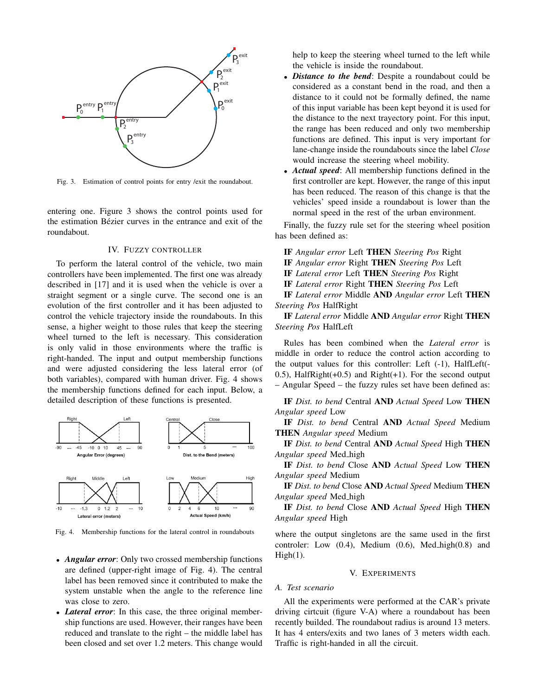

Fig. 3. Estimation of control points for entry /exit the roundabout.

entering one. Figure 3 shows the control points used for the estimation Bézier curves in the entrance and exit of the roundabout.

#### IV. FUZZY CONTROLLER

To perform the lateral control of the vehicle, two main controllers have been implemented. The first one was already described in [17] and it is used when the vehicle is over a straight segment or a single curve. The second one is an evolution of the first controller and it has been adjusted to control the vehicle trajectory inside the roundabouts. In this sense, a higher weight to those rules that keep the steering wheel turned to the left is necessary. This consideration is only valid in those environments where the traffic is right-handed. The input and output membership functions and were adjusted considering the less lateral error (of both variables), compared with human driver. Fig. 4 shows the membership functions defined for each input. Below, a detailed description of these functions is presented.



Fig. 4. Membership functions for the lateral control in roundabouts

- *Angular error*: Only two crossed membership functions are defined (upper-right image of Fig. 4). The central label has been removed since it contributed to make the system unstable when the angle to the reference line was close to zero.
- *Lateral error*: In this case, the three original membership functions are used. However, their ranges have been reduced and translate to the right – the middle label has been closed and set over 1.2 meters. This change would

help to keep the steering wheel turned to the left while the vehicle is inside the roundabout.

- *Distance to the bend*: Despite a roundabout could be considered as a constant bend in the road, and then a distance to it could not be formally defined, the name of this input variable has been kept beyond it is used for the distance to the next trayectory point. For this input, the range has been reduced and only two membership functions are defined. This input is very important for lane-change inside the roundabouts since the label *Close* would increase the steering wheel mobility.
- *Actual speed*: All membership functions defined in the first controller are kept. However, the range of this input has been reduced. The reason of this change is that the vehicles' speed inside a roundabout is lower than the normal speed in the rest of the urban environment.

Finally, the fuzzy rule set for the steering wheel position has been defined as:

- IF *Angular error* Left THEN *Steering Pos* Right
- IF *Angular error* Right THEN *Steering Pos* Left
- IF *Lateral error* Left THEN *Steering Pos* Right
- IF *Lateral error* Right THEN *Steering Pos* Left

IF *Lateral error* Middle AND *Angular error* Left THEN *Steering Pos* HalfRight

IF *Lateral error* Middle AND *Angular error* Right THEN *Steering Pos* HalfLeft

Rules has been combined when the *Lateral error* is middle in order to reduce the control action according to the output values for this controller: Left (-1), HalfLeft(- 0.5), HalfRight(+0.5) and Right(+1). For the second output – Angular Speed – the fuzzy rules set have been defined as:

IF *Dist. to bend* Central AND *Actual Speed* Low THEN *Angular speed* Low

IF *Dist. to bend* Central AND *Actual Speed* Medium THEN *Angular speed* Medium

IF *Dist. to bend* Central AND *Actual Speed* High THEN *Angular speed* Med high

IF *Dist. to bend* Close AND *Actual Speed* Low THEN *Angular speed* Medium

IF *Dist. to bend* Close AND *Actual Speed* Medium THEN *Angular speed* Med high

IF *Dist. to bend* Close AND *Actual Speed* High THEN *Angular speed* High

where the output singletons are the same used in the first controler: Low  $(0.4)$ , Medium  $(0.6)$ , Med<sub>high</sub> $(0.8)$  and  $High(1)$ .

### V. EXPERIMENTS

#### *A. Test scenario*

All the experiments were performed at the CAR's private driving cirtcuit (figure V-A) where a roundabout has been recently builded. The roundabout radius is around 13 meters. It has 4 enters/exits and two lanes of 3 meters width each. Traffic is right-handed in all the circuit.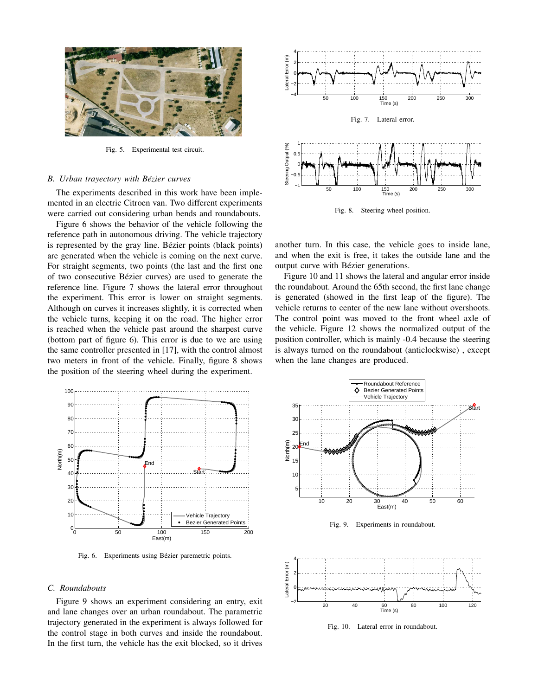

Fig. 5. Experimental test circuit.

## *B. Urban trayectory with Bezier curves ´*

The experiments described in this work have been implemented in an electric Citroen van. Two different experiments were carried out considering urban bends and roundabouts.

Figure 6 shows the behavior of the vehicle following the reference path in autonomous driving. The vehicle trajectory is represented by the gray line. Bézier points (black points) are generated when the vehicle is coming on the next curve. For straight segments, two points (the last and the first one of two consecutive Bezier curves) are used to generate the ´ reference line. Figure 7 shows the lateral error throughout the experiment. This error is lower on straight segments. Although on curves it increases slightly, it is corrected when the vehicle turns, keeping it on the road. The higher error is reached when the vehicle past around the sharpest curve (bottom part of figure 6). This error is due to we are using the same controller presented in [17], with the control almost two meters in front of the vehicle. Finally, figure 8 shows the position of the steering wheel during the experiment.



Fig. 6. Experiments using Bézier paremetric points.

#### *C. Roundabouts*

Figure 9 shows an experiment considering an entry, exit and lane changes over an urban roundabout. The parametric trajectory generated in the experiment is always followed for the control stage in both curves and inside the roundabout. In the first turn, the vehicle has the exit blocked, so it drives



Fig. 8. Steering wheel position.

another turn. In this case, the vehicle goes to inside lane, and when the exit is free, it takes the outside lane and the output curve with Bézier generations.

Figure 10 and 11 shows the lateral and angular error inside the roundabout. Around the 65th second, the first lane change is generated (showed in the first leap of the figure). The vehicle returns to center of the new lane without overshoots. The control point was moved to the front wheel axle of the vehicle. Figure 12 shows the normalized output of the position controller, which is mainly -0.4 because the steering is always turned on the roundabout (anticlockwise) , except when the lane changes are produced.



Fig. 9. Experiments in roundabout.



Fig. 10. Lateral error in roundabout.